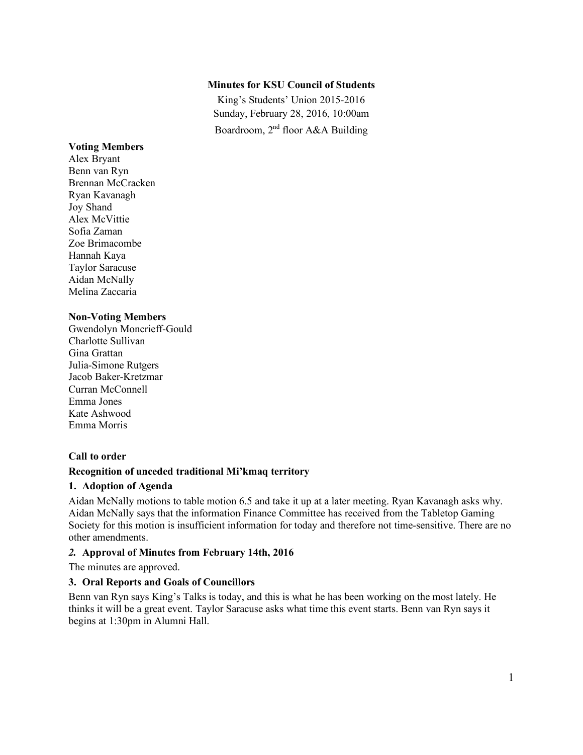#### **Minutes for KSU Council of Students**

King's Students' Union 2015-2016 Sunday, February 28, 2016, 10:00am Boardroom, 2nd floor A&A Building

#### **Voting Members**

Alex Bryant Benn van Ryn Brennan McCracken Ryan Kavanagh Joy Shand Alex McVittie Sofia Zaman Zoe Brimacombe Hannah Kaya Taylor Saracuse Aidan McNally Melina Zaccaria

#### **Non-Voting Members**

Gwendolyn Moncrieff-Gould Charlotte Sullivan Gina Grattan Julia-Simone Rutgers Jacob Baker-Kretzmar Curran McConnell Emma Jones Kate Ashwood Emma Morris

#### **Call to order**

### **Recognition of unceded traditional Mi'kmaq territory**

#### **1. Adoption of Agenda**

Aidan McNally motions to table motion 6.5 and take it up at a later meeting. Ryan Kavanagh asks why. Aidan McNally says that the information Finance Committee has received from the Tabletop Gaming Society for this motion is insufficient information for today and therefore not time-sensitive. There are no other amendments.

#### *2.* **Approval of Minutes from February 14th, 2016**

The minutes are approved.

#### **3. Oral Reports and Goals of Councillors**

Benn van Ryn says King's Talks is today, and this is what he has been working on the most lately. He thinks it will be a great event. Taylor Saracuse asks what time this event starts. Benn van Ryn says it begins at 1:30pm in Alumni Hall.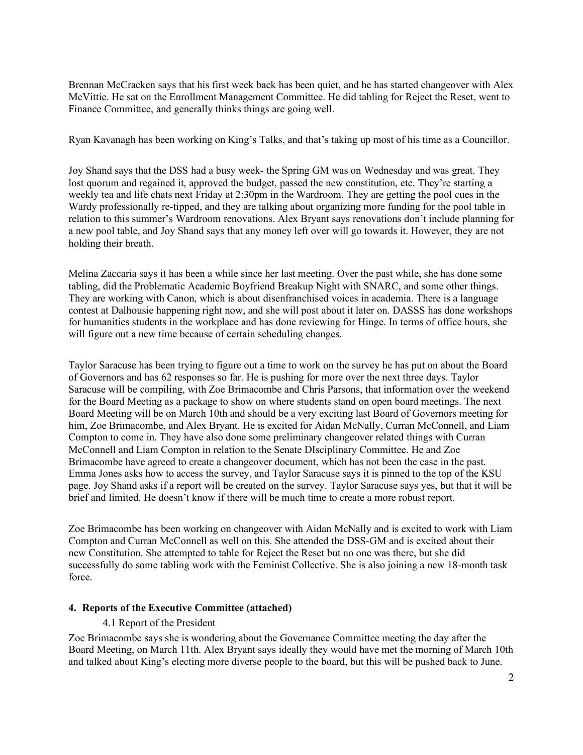Brennan McCracken says that his first week back has been quiet, and he has started changeover with Alex McVittie. He sat on the Enrollment Management Committee. He did tabling for Reject the Reset, went to Finance Committee, and generally thinks things are going well.

Ryan Kavanagh has been working on King's Talks, and that's taking up most of his time as a Councillor.

Joy Shand says that the DSS had a busy week- the Spring GM was on Wednesday and was great. They lost quorum and regained it, approved the budget, passed the new constitution, etc. They're starting a weekly tea and life chats next Friday at 2:30pm in the Wardroom. They are getting the pool cues in the Wardy professionally re-tipped, and they are talking about organizing more funding for the pool table in relation to this summer's Wardroom renovations. Alex Bryant says renovations don't include planning for a new pool table, and Joy Shand says that any money left over will go towards it. However, they are not holding their breath.

Melina Zaccaria says it has been a while since her last meeting. Over the past while, she has done some tabling, did the Problematic Academic Boyfriend Breakup Night with SNARC, and some other things. They are working with Canon, which is about disenfranchised voices in academia. There is a language contest at Dalhousie happening right now, and she will post about it later on. DASSS has done workshops for humanities students in the workplace and has done reviewing for Hinge. In terms of office hours, she will figure out a new time because of certain scheduling changes.

Taylor Saracuse has been trying to figure out a time to work on the survey he has put on about the Board of Governors and has 62 responses so far. He is pushing for more over the next three days. Taylor Saracuse will be compiling, with Zoe Brimacombe and Chris Parsons, that information over the weekend for the Board Meeting as a package to show on where students stand on open board meetings. The next Board Meeting will be on March 10th and should be a very exciting last Board of Governors meeting for him, Zoe Brimacombe, and Alex Bryant. He is excited for Aidan McNally, Curran McConnell, and Liam Compton to come in. They have also done some preliminary changeover related things with Curran McConnell and Liam Compton in relation to the Senate DIsciplinary Committee. He and Zoe Brimacombe have agreed to create a changeover document, which has not been the case in the past. Emma Jones asks how to access the survey, and Taylor Saracuse says it is pinned to the top of the KSU page. Joy Shand asks if a report will be created on the survey. Taylor Saracuse says yes, but that it will be brief and limited. He doesn't know if there will be much time to create a more robust report.

Zoe Brimacombe has been working on changeover with Aidan McNally and is excited to work with Liam Compton and Curran McConnell as well on this. She attended the DSS-GM and is excited about their new Constitution. She attempted to table for Reject the Reset but no one was there, but she did successfully do some tabling work with the Feminist Collective. She is also joining a new 18-month task force.

#### **4. Reports of the Executive Committee (attached)**

#### 4.1 Report of the President

Zoe Brimacombe says she is wondering about the Governance Committee meeting the day after the Board Meeting, on March 11th. Alex Bryant says ideally they would have met the morning of March 10th and talked about King's electing more diverse people to the board, but this will be pushed back to June.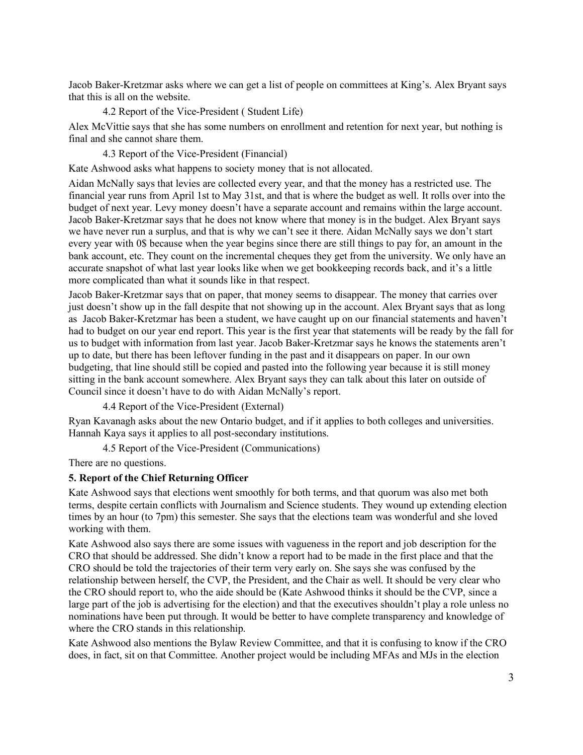Jacob Baker-Kretzmar asks where we can get a list of people on committees at King's. Alex Bryant says that this is all on the website.

4.2 Report of the Vice-President ( Student Life)

Alex McVittie says that she has some numbers on enrollment and retention for next year, but nothing is final and she cannot share them.

4.3 Report of the Vice-President (Financial)

Kate Ashwood asks what happens to society money that is not allocated.

Aidan McNally says that levies are collected every year, and that the money has a restricted use. The financial year runs from April 1st to May 31st, and that is where the budget as well. It rolls over into the budget of next year. Levy money doesn't have a separate account and remains within the large account. Jacob Baker-Kretzmar says that he does not know where that money is in the budget. Alex Bryant says we have never run a surplus, and that is why we can't see it there. Aidan McNally says we don't start every year with 0\$ because when the year begins since there are still things to pay for, an amount in the bank account, etc. They count on the incremental cheques they get from the university. We only have an accurate snapshot of what last year looks like when we get bookkeeping records back, and it's a little more complicated than what it sounds like in that respect.

Jacob Baker-Kretzmar says that on paper, that money seems to disappear. The money that carries over just doesn't show up in the fall despite that not showing up in the account. Alex Bryant says that as long as Jacob Baker-Kretzmar has been a student, we have caught up on our financial statements and haven't had to budget on our year end report. This year is the first year that statements will be ready by the fall for us to budget with information from last year. Jacob Baker-Kretzmar says he knows the statements aren't up to date, but there has been leftover funding in the past and it disappears on paper. In our own budgeting, that line should still be copied and pasted into the following year because it is still money sitting in the bank account somewhere. Alex Bryant says they can talk about this later on outside of Council since it doesn't have to do with Aidan McNally's report.

4.4 Report of the Vice-President (External)

Ryan Kavanagh asks about the new Ontario budget, and if it applies to both colleges and universities. Hannah Kaya says it applies to all post-secondary institutions.

4.5 Report of the Vice-President (Communications)

There are no questions.

## **5. Report of the Chief Returning Officer**

Kate Ashwood says that elections went smoothly for both terms, and that quorum was also met both terms, despite certain conflicts with Journalism and Science students. They wound up extending election times by an hour (to 7pm) this semester. She says that the elections team was wonderful and she loved working with them.

Kate Ashwood also says there are some issues with vagueness in the report and job description for the CRO that should be addressed. She didn't know a report had to be made in the first place and that the CRO should be told the trajectories of their term very early on. She says she was confused by the relationship between herself, the CVP, the President, and the Chair as well. It should be very clear who the CRO should report to, who the aide should be (Kate Ashwood thinks it should be the CVP, since a large part of the job is advertising for the election) and that the executives shouldn't play a role unless no nominations have been put through. It would be better to have complete transparency and knowledge of where the CRO stands in this relationship.

Kate Ashwood also mentions the Bylaw Review Committee, and that it is confusing to know if the CRO does, in fact, sit on that Committee. Another project would be including MFAs and MJs in the election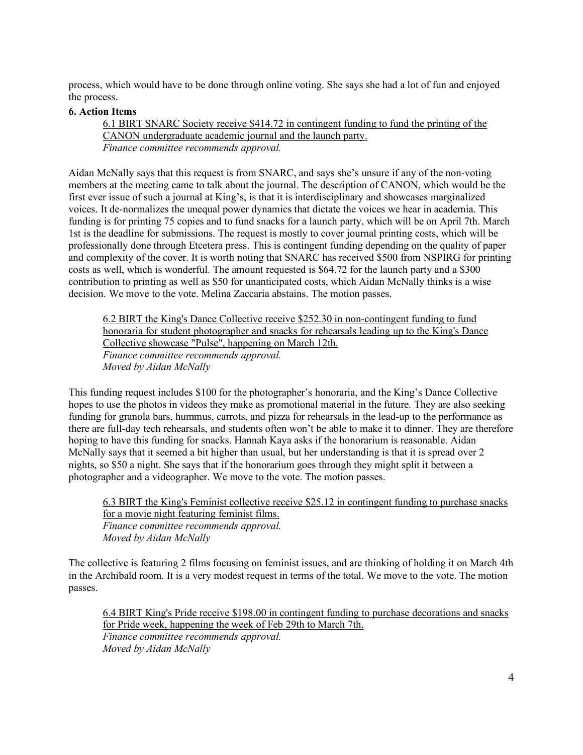process, which would have to be done through online voting. She says she had a lot of fun and enjoyed the process.

#### **6. Action Items**

6.1 BIRT SNARC Society receive \$414.72 in contingent funding to fund the printing of the CANON undergraduate academic journal and the launch party. *Finance committee recommends approval.*

Aidan McNally says that this request is from SNARC, and says she's unsure if any of the non-voting members at the meeting came to talk about the journal. The description of CANON, which would be the first ever issue of such a journal at King's, is that it is interdisciplinary and showcases marginalized voices. It de-normalizes the unequal power dynamics that dictate the voices we hear in academia. This funding is for printing 75 copies and to fund snacks for a launch party, which will be on April 7th. March 1st is the deadline for submissions. The request is mostly to cover journal printing costs, which will be professionally done through Etcetera press. This is contingent funding depending on the quality of paper and complexity of the cover. It is worth noting that SNARC has received \$500 from NSPIRG for printing costs as well, which is wonderful. The amount requested is \$64.72 for the launch party and a \$300 contribution to printing as well as \$50 for unanticipated costs, which Aidan McNally thinks is a wise decision. We move to the vote. Melina Zaccaria abstains. The motion passes.

6.2 BIRT the King's Dance Collective receive \$252.30 in non-contingent funding to fund honoraria for student photographer and snacks for rehearsals leading up to the King's Dance Collective showcase "Pulse", happening on March 12th. *Finance committee recommends approval. Moved by Aidan McNally*

This funding request includes \$100 for the photographer's honoraria, and the King's Dance Collective hopes to use the photos in videos they make as promotional material in the future. They are also seeking funding for granola bars, hummus, carrots, and pizza for rehearsals in the lead-up to the performance as there are full-day tech rehearsals, and students often won't be able to make it to dinner. They are therefore hoping to have this funding for snacks. Hannah Kaya asks if the honorarium is reasonable. Aidan McNally says that it seemed a bit higher than usual, but her understanding is that it is spread over 2 nights, so \$50 a night. She says that if the honorarium goes through they might split it between a photographer and a videographer. We move to the vote. The motion passes.

6.3 BIRT the King's Feminist collective receive \$25.12 in contingent funding to purchase snacks for a movie night featuring feminist films. *Finance committee recommends approval. Moved by Aidan McNally*

The collective is featuring 2 films focusing on feminist issues, and are thinking of holding it on March 4th in the Archibald room. It is a very modest request in terms of the total. We move to the vote. The motion passes.

6.4 BIRT King's Pride receive \$198.00 in contingent funding to purchase decorations and snacks for Pride week, happening the week of Feb 29th to March 7th. *Finance committee recommends approval. Moved by Aidan McNally*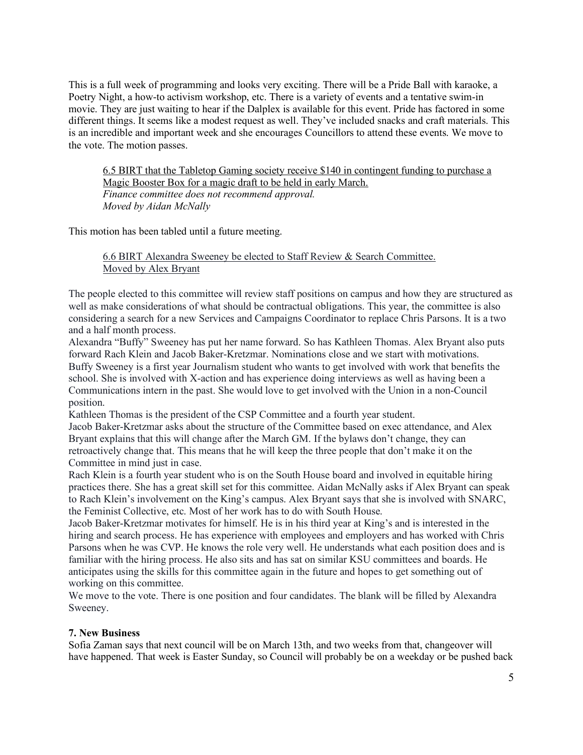This is a full week of programming and looks very exciting. There will be a Pride Ball with karaoke, a Poetry Night, a how-to activism workshop, etc. There is a variety of events and a tentative swim-in movie. They are just waiting to hear if the Dalplex is available for this event. Pride has factored in some different things. It seems like a modest request as well. They've included snacks and craft materials. This is an incredible and important week and she encourages Councillors to attend these events. We move to the vote. The motion passes.

6.5 BIRT that the Tabletop Gaming society receive \$140 in contingent funding to purchase a Magic Booster Box for a magic draft to be held in early March. *Finance committee does not recommend approval. Moved by Aidan McNally*

This motion has been tabled until a future meeting.

6.6 BIRT Alexandra Sweeney be elected to Staff Review & Search Committee. Moved by Alex Bryant

The people elected to this committee will review staff positions on campus and how they are structured as well as make considerations of what should be contractual obligations. This year, the committee is also considering a search for a new Services and Campaigns Coordinator to replace Chris Parsons. It is a two and a half month process.

Alexandra "Buffy" Sweeney has put her name forward. So has Kathleen Thomas. Alex Bryant also puts forward Rach Klein and Jacob Baker-Kretzmar. Nominations close and we start with motivations. Buffy Sweeney is a first year Journalism student who wants to get involved with work that benefits the school. She is involved with X-action and has experience doing interviews as well as having been a Communications intern in the past. She would love to get involved with the Union in a non-Council position.

Kathleen Thomas is the president of the CSP Committee and a fourth year student.

Jacob Baker-Kretzmar asks about the structure of the Committee based on exec attendance, and Alex Bryant explains that this will change after the March GM. If the bylaws don't change, they can retroactively change that. This means that he will keep the three people that don't make it on the Committee in mind just in case.

Rach Klein is a fourth year student who is on the South House board and involved in equitable hiring practices there. She has a great skill set for this committee. Aidan McNally asks if Alex Bryant can speak to Rach Klein's involvement on the King's campus. Alex Bryant says that she is involved with SNARC, the Feminist Collective, etc. Most of her work has to do with South House.

Jacob Baker-Kretzmar motivates for himself. He is in his third year at King's and is interested in the hiring and search process. He has experience with employees and employers and has worked with Chris Parsons when he was CVP. He knows the role very well. He understands what each position does and is familiar with the hiring process. He also sits and has sat on similar KSU committees and boards. He anticipates using the skills for this committee again in the future and hopes to get something out of working on this committee.

We move to the vote. There is one position and four candidates. The blank will be filled by Alexandra Sweeney.

#### **7. New Business**

Sofia Zaman says that next council will be on March 13th, and two weeks from that, changeover will have happened. That week is Easter Sunday, so Council will probably be on a weekday or be pushed back